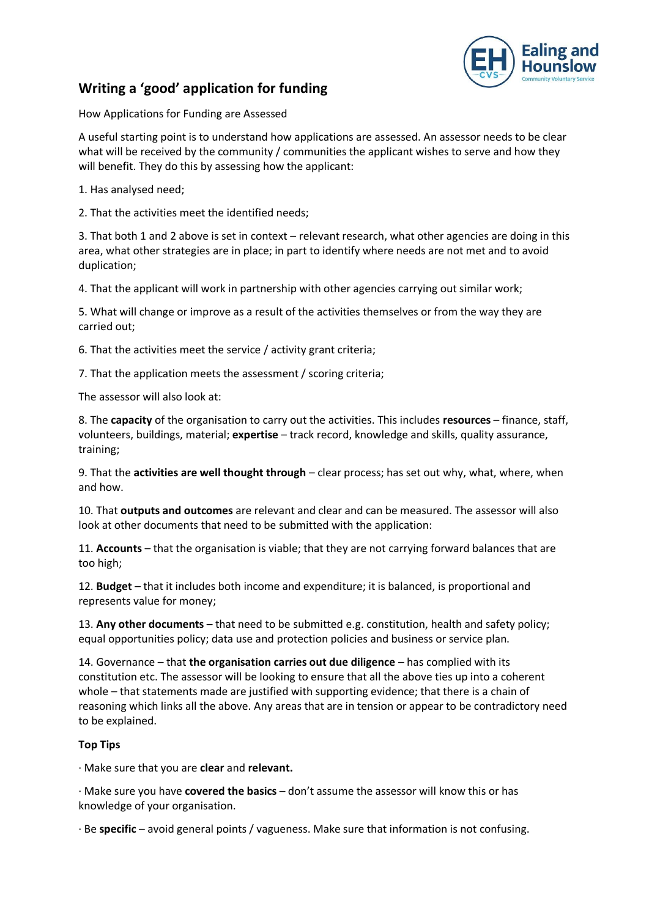

## **Writing a 'good' application for funding**

How Applications for Funding are Assessed

A useful starting point is to understand how applications are assessed. An assessor needs to be clear what will be received by the community / communities the applicant wishes to serve and how they will benefit. They do this by assessing how the applicant:

1. Has analysed need;

2. That the activities meet the identified needs;

3. That both 1 and 2 above is set in context – relevant research, what other agencies are doing in this area, what other strategies are in place; in part to identify where needs are not met and to avoid duplication;

4. That the applicant will work in partnership with other agencies carrying out similar work;

5. What will change or improve as a result of the activities themselves or from the way they are carried out;

6. That the activities meet the service / activity grant criteria;

7. That the application meets the assessment / scoring criteria;

The assessor will also look at:

8. The **capacity** of the organisation to carry out the activities. This includes **resources** – finance, staff, volunteers, buildings, material; **expertise** – track record, knowledge and skills, quality assurance, training;

9. That the **activities are well thought through** – clear process; has set out why, what, where, when and how.

10. That **outputs and outcomes** are relevant and clear and can be measured. The assessor will also look at other documents that need to be submitted with the application:

11. **Accounts** – that the organisation is viable; that they are not carrying forward balances that are too high;

12. **Budget** – that it includes both income and expenditure; it is balanced, is proportional and represents value for money;

13. **Any other documents** – that need to be submitted e.g. constitution, health and safety policy; equal opportunities policy; data use and protection policies and business or service plan.

14. Governance – that **the organisation carries out due diligence** – has complied with its constitution etc. The assessor will be looking to ensure that all the above ties up into a coherent whole – that statements made are justified with supporting evidence; that there is a chain of reasoning which links all the above. Any areas that are in tension or appear to be contradictory need to be explained.

## **Top Tips**

∙ Make sure that you are **clear** and **relevant.**

∙ Make sure you have **covered the basics** – don't assume the assessor will know this or has knowledge of your organisation.

∙ Be **specific** – avoid general points / vagueness. Make sure that information is not confusing.